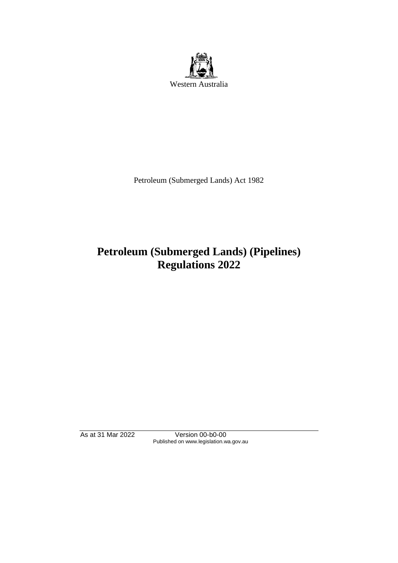

Petroleum (Submerged Lands) Act 1982

# **Petroleum (Submerged Lands) (Pipelines) Regulations 2022**

As at 31 Mar 2022 Version 00-b0-00 Published on www.legislation.wa.gov.au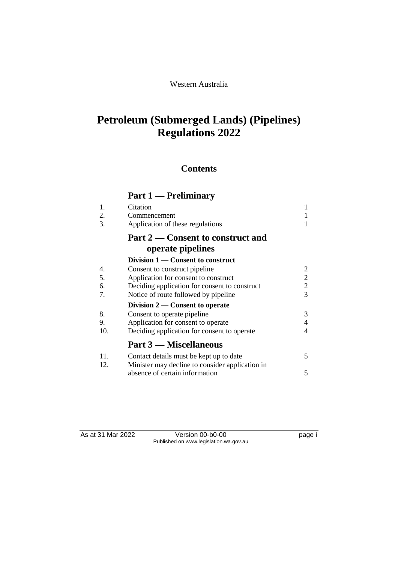#### Western Australia

# **Petroleum (Submerged Lands) (Pipelines) Regulations 2022**

## **Contents**

# **Part 1 — Preliminary**

| 1.<br>2.<br>3. | Citation<br>Commencement<br>Application of these regulations | 1<br>1<br>1    |
|----------------|--------------------------------------------------------------|----------------|
|                | Part 2 – Consent to construct and<br>operate pipelines       |                |
|                | Division 1 — Consent to construct                            |                |
| 4.             | Consent to construct pipeline                                | 2              |
| 5.             | Application for consent to construct                         | $\overline{2}$ |
| 6.             | Deciding application for consent to construct                | $\overline{2}$ |
| 7.             | Notice of route followed by pipeline                         | $\overline{3}$ |
|                | Division 2 — Consent to operate                              |                |
| 8.             | Consent to operate pipeline                                  | 3              |
| 9.             | Application for consent to operate                           | $\overline{4}$ |
| 10.            | Deciding application for consent to operate                  | 4              |
|                | Part 3 — Miscellaneous                                       |                |
| 11.            | Contact details must be kept up to date                      | 5              |
| 12.            | Minister may decline to consider application in              |                |
|                | absence of certain information                               | 5              |

As at 31 Mar 2022 Version 00-b0-00 Page i Published on www.legislation.wa.gov.au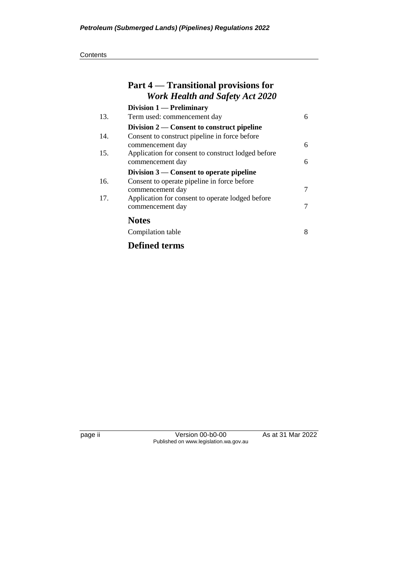|     | Part 4 – Transitional provisions for<br><b>Work Health and Safety Act 2020</b> |   |
|-----|--------------------------------------------------------------------------------|---|
|     | Division $1$ — Preliminary                                                     |   |
| 13. | Term used: commencement day                                                    | 6 |
|     | Division $2$ — Consent to construct pipeline                                   |   |
| 14. | Consent to construct pipeline in force before                                  |   |
|     | commencement day                                                               | 6 |
| 15. | Application for consent to construct lodged before                             |   |
|     | commencement day                                                               | 6 |
|     | Division $3$ — Consent to operate pipeline                                     |   |
| 16. | Consent to operate pipeline in force before                                    |   |
|     | commencement day                                                               | 7 |
| 17. | Application for consent to operate lodged before                               |   |
|     | commencement day                                                               | 7 |
|     | <b>Notes</b>                                                                   |   |
|     | Compilation table                                                              | 8 |
|     | <b>Defined terms</b>                                                           |   |

page ii Version 00-b0-00 As at 31 Mar 2022 Published on www.legislation.wa.gov.au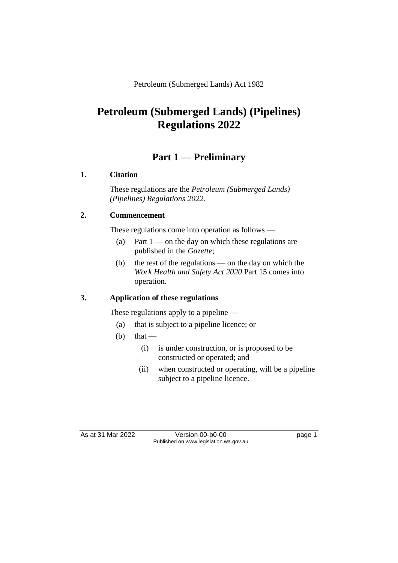Petroleum (Submerged Lands) Act 1982

# **Petroleum (Submerged Lands) (Pipelines) Regulations 2022**

## **Part 1 — Preliminary**

#### **1. Citation**

These regulations are the *Petroleum (Submerged Lands) (Pipelines) Regulations 2022*.

### **2. Commencement**

These regulations come into operation as follows —

- (a) Part  $1$  on the day on which these regulations are published in the *Gazette*;
- (b) the rest of the regulations on the day on which the *Work Health and Safety Act 2020* Part 15 comes into operation.

### **3. Application of these regulations**

These regulations apply to a pipeline —

- (a) that is subject to a pipeline licence; or
- (b) that
	- (i) is under construction, or is proposed to be constructed or operated; and
	- (ii) when constructed or operating, will be a pipeline subject to a pipeline licence.

As at 31 Mar 2022 Version 00-b0-00 page 1 Published on www.legislation.wa.gov.au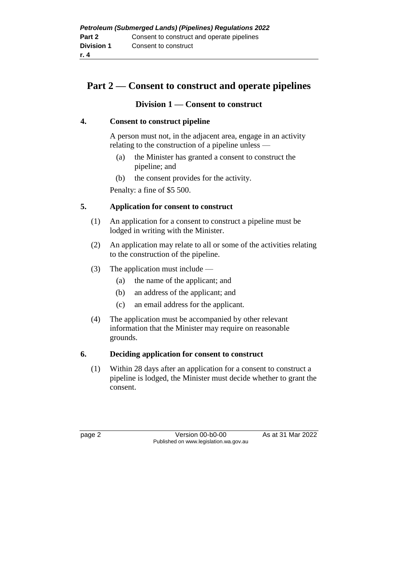| <b>Petroleum (Submerged Lands) (Pipelines) Regulations 2022</b> |                                            |  |  |
|-----------------------------------------------------------------|--------------------------------------------|--|--|
| Part 2                                                          | Consent to construct and operate pipelines |  |  |
| <b>Division 1</b>                                               | Consent to construct                       |  |  |
| r. 4                                                            |                                            |  |  |

## **Part 2 — Consent to construct and operate pipelines**

#### **Division 1 — Consent to construct**

#### **4. Consent to construct pipeline**

A person must not, in the adjacent area, engage in an activity relating to the construction of a pipeline unless —

- (a) the Minister has granted a consent to construct the pipeline; and
- (b) the consent provides for the activity.

Penalty: a fine of \$5 500.

#### **5. Application for consent to construct**

- (1) An application for a consent to construct a pipeline must be lodged in writing with the Minister.
- (2) An application may relate to all or some of the activities relating to the construction of the pipeline.
- (3) The application must include
	- (a) the name of the applicant; and
	- (b) an address of the applicant; and
	- (c) an email address for the applicant.
- (4) The application must be accompanied by other relevant information that the Minister may require on reasonable grounds.

#### **6. Deciding application for consent to construct**

(1) Within 28 days after an application for a consent to construct a pipeline is lodged, the Minister must decide whether to grant the consent.

page 2 Version 00-b0-00 As at 31 Mar 2022 Published on www.legislation.wa.gov.au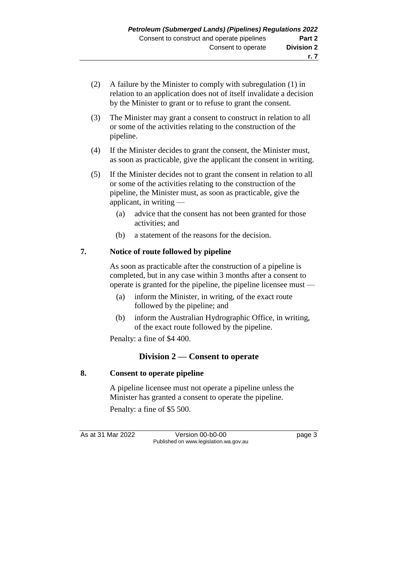- (2) A failure by the Minister to comply with subregulation (1) in relation to an application does not of itself invalidate a decision by the Minister to grant or to refuse to grant the consent.
- (3) The Minister may grant a consent to construct in relation to all or some of the activities relating to the construction of the pipeline.
- (4) If the Minister decides to grant the consent, the Minister must, as soon as practicable, give the applicant the consent in writing.
- (5) If the Minister decides not to grant the consent in relation to all or some of the activities relating to the construction of the pipeline, the Minister must, as soon as practicable, give the applicant, in writing —
	- (a) advice that the consent has not been granted for those activities; and
	- (b) a statement of the reasons for the decision.

### **7. Notice of route followed by pipeline**

As soon as practicable after the construction of a pipeline is completed, but in any case within 3 months after a consent to operate is granted for the pipeline, the pipeline licensee must —

- (a) inform the Minister, in writing, of the exact route followed by the pipeline; and
- (b) inform the Australian Hydrographic Office, in writing, of the exact route followed by the pipeline.

Penalty: a fine of \$4 400.

### **Division 2 — Consent to operate**

### **8. Consent to operate pipeline**

A pipeline licensee must not operate a pipeline unless the Minister has granted a consent to operate the pipeline. Penalty: a fine of \$5 500.

As at 31 Mar 2022 Version 00-b0-00 page 3 Published on www.legislation.wa.gov.au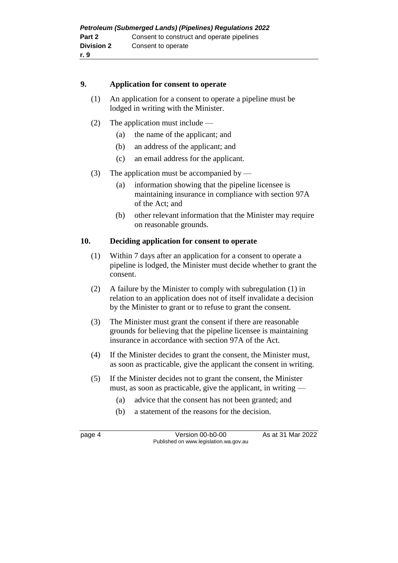#### **9. Application for consent to operate**

- (1) An application for a consent to operate a pipeline must be lodged in writing with the Minister.
- (2) The application must include
	- (a) the name of the applicant; and
	- (b) an address of the applicant; and
	- (c) an email address for the applicant.
- (3) The application must be accompanied by
	- (a) information showing that the pipeline licensee is maintaining insurance in compliance with section 97A of the Act; and
	- (b) other relevant information that the Minister may require on reasonable grounds.

#### **10. Deciding application for consent to operate**

- (1) Within 7 days after an application for a consent to operate a pipeline is lodged, the Minister must decide whether to grant the consent.
- (2) A failure by the Minister to comply with subregulation (1) in relation to an application does not of itself invalidate a decision by the Minister to grant or to refuse to grant the consent.
- (3) The Minister must grant the consent if there are reasonable grounds for believing that the pipeline licensee is maintaining insurance in accordance with section 97A of the Act.
- (4) If the Minister decides to grant the consent, the Minister must, as soon as practicable, give the applicant the consent in writing.
- (5) If the Minister decides not to grant the consent, the Minister must, as soon as practicable, give the applicant, in writing —
	- (a) advice that the consent has not been granted; and
	- (b) a statement of the reasons for the decision.

page 4 Version 00-b0-00 As at 31 Mar 2022 Published on www.legislation.wa.gov.au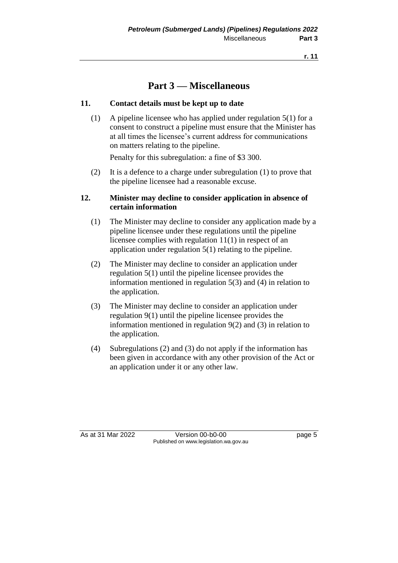# **Part 3 — Miscellaneous**

#### **11. Contact details must be kept up to date**

(1) A pipeline licensee who has applied under regulation 5(1) for a consent to construct a pipeline must ensure that the Minister has at all times the licensee's current address for communications on matters relating to the pipeline.

Penalty for this subregulation: a fine of \$3 300.

(2) It is a defence to a charge under subregulation (1) to prove that the pipeline licensee had a reasonable excuse.

#### **12. Minister may decline to consider application in absence of certain information**

- (1) The Minister may decline to consider any application made by a pipeline licensee under these regulations until the pipeline licensee complies with regulation 11(1) in respect of an application under regulation 5(1) relating to the pipeline.
- (2) The Minister may decline to consider an application under regulation 5(1) until the pipeline licensee provides the information mentioned in regulation 5(3) and (4) in relation to the application.
- (3) The Minister may decline to consider an application under regulation 9(1) until the pipeline licensee provides the information mentioned in regulation 9(2) and (3) in relation to the application.
- (4) Subregulations (2) and (3) do not apply if the information has been given in accordance with any other provision of the Act or an application under it or any other law.

As at 31 Mar 2022 Version 00-b0-00 page 5 Published on www.legislation.wa.gov.au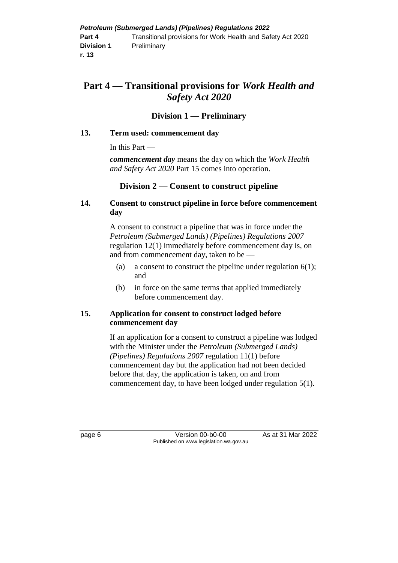# **Part 4 — Transitional provisions for** *Work Health and Safety Act 2020*

#### **Division 1 — Preliminary**

#### **13. Term used: commencement day**

In this Part —

*commencement day* means the day on which the *Work Health and Safety Act 2020* Part 15 comes into operation.

#### **Division 2 — Consent to construct pipeline**

#### **14. Consent to construct pipeline in force before commencement day**

A consent to construct a pipeline that was in force under the *Petroleum (Submerged Lands) (Pipelines) Regulations 2007* regulation 12(1) immediately before commencement day is, on and from commencement day, taken to be —

- (a) a consent to construct the pipeline under regulation  $6(1)$ ; and
- (b) in force on the same terms that applied immediately before commencement day.

#### **15. Application for consent to construct lodged before commencement day**

If an application for a consent to construct a pipeline was lodged with the Minister under the *Petroleum (Submerged Lands) (Pipelines) Regulations 2007* regulation 11(1) before commencement day but the application had not been decided before that day, the application is taken, on and from commencement day, to have been lodged under regulation 5(1).

page 6 Version 00-b0-00 As at 31 Mar 2022 Published on www.legislation.wa.gov.au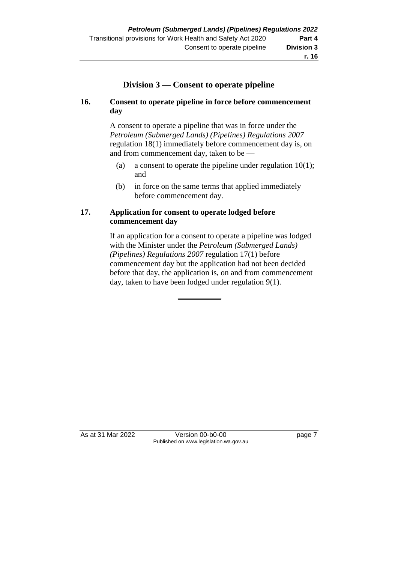### **Division 3 — Consent to operate pipeline**

#### **16. Consent to operate pipeline in force before commencement day**

A consent to operate a pipeline that was in force under the *Petroleum (Submerged Lands) (Pipelines) Regulations 2007* regulation 18(1) immediately before commencement day is, on and from commencement day, taken to be —

- (a) a consent to operate the pipeline under regulation  $10(1)$ ; and
- (b) in force on the same terms that applied immediately before commencement day.

#### **17. Application for consent to operate lodged before commencement day**

If an application for a consent to operate a pipeline was lodged with the Minister under the *Petroleum (Submerged Lands) (Pipelines) Regulations 2007* regulation 17(1) before commencement day but the application had not been decided before that day, the application is, on and from commencement day, taken to have been lodged under regulation 9(1).

As at 31 Mar 2022 Version 00-b0-00 page 7 Published on www.legislation.wa.gov.au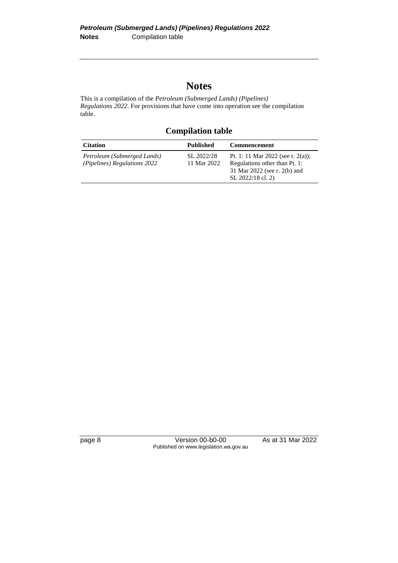# **Notes**

This is a compilation of the *Petroleum (Submerged Lands) (Pipelines) Regulations 2022*. For provisions that have come into operation see the compilation table.

**Compilation table**

| <b>Citation</b>                                             | Published                 | <b>Commencement</b>                                                                                                     |
|-------------------------------------------------------------|---------------------------|-------------------------------------------------------------------------------------------------------------------------|
| Petroleum (Submerged Lands)<br>(Pipelines) Regulations 2022 | SL 2022/28<br>11 Mar 2022 | Pt. 1: 11 Mar 2022 (see r. 2(a));<br>Regulations other than Pt. 1:<br>31 Mar 2022 (see r. 2(b) and<br>SL 2022/18 cl. 2) |

page 8 Version 00-b0-00 As at 31 Mar 2022 Published on www.legislation.wa.gov.au